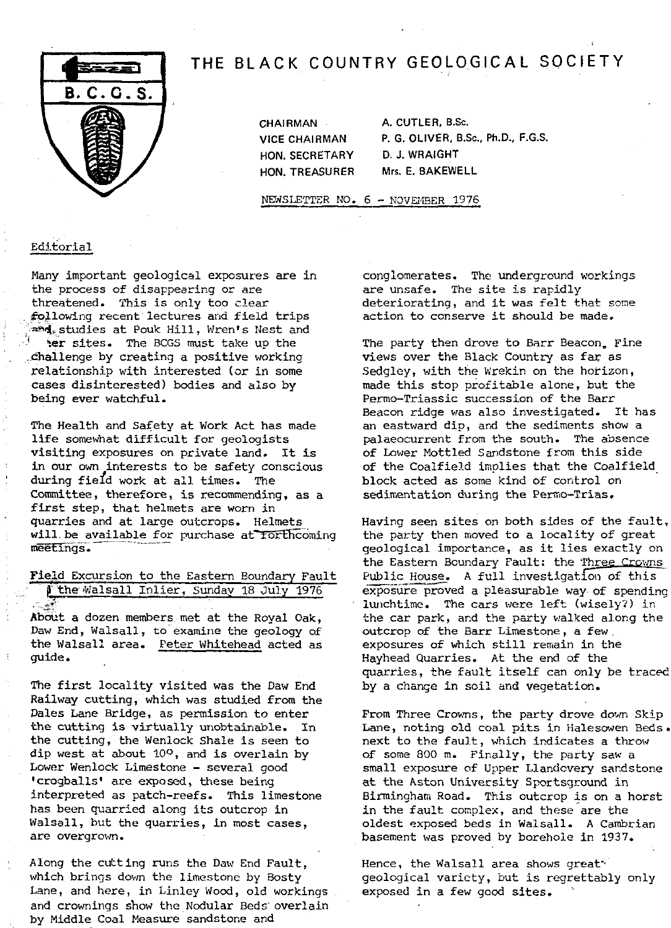# THE BLACK COUNTRY GEOLOGICAL SOCIETY



HON. SECRETARY D. J. WRAIGHT

CHAIRMAN A. CUTLER, B.Sc. VICE CHAIRMAN P. G. OLIVER, B.Sc., Ph.D., F.G.S. HON. TREASURER Mrs. E. BAKEWELL

NEWSLETTER NO. 6 - NOVEMBER 1976

# Editorial

Many important geological exposures are in the process of disappearing or are threatened. This is only too clear following recent lectures and field trips and studies at Pouk Hill, Wren's Nest and her sites. The BCGS must take up the

.challenge by creating a positive working relationship with interested (or in some cases disinterested) bodies and also by being ever watchful.

The Health and Safety at Work Act has made life somewhat difficult for geologists visiting exposures on private land. It is in our own interests to be safety conscious during fiefd work at all times. The Committee, therefore, is recommending, as a first step, that helmets are worn in quarries and at large outcrops. Helmets will be available for purchase at forthcoming meetings.

Field Excursion to the Eastern Boundary Fault

I the Walsall Inlier, Sunday 18 July 1976

About a dozen members. met at the Royal Oak, Daw End, Walsall, to examine the geology of the Walsall area. Peter Whitehead acted as guide.

The first locality visited was the Daw End Railway cutting, which was studied from the Dales Lane Bridge, as permission to enter the cutting is virtually unobtainable. In the cutting, the Wenlock Shale is seen to dip west at about 10°, and is overlain by Lower Wenlock Limestone - several good 'crogballs' are exposed, these being interpreted as patch-reefs. This limestone has been quarried along its outcrop in Walsall, but the quarries, in most cases, are overgrown.

Along the cutting runs the Daw End Fault, which brings down the limestone by Bosty Lane, and here, in Linley Wood, old workings and crownings show the Nodular Beds overlain by Middle Coal Measure sandstone and

conglomerates. The underground workings are unsafe. The site is rapidly deteriorating, and it was felt that some action to conserve it should be made.

The party then drove to Barr Beacon. Fine views over the Black Country as far as Sedgley, with the Wrekin on the horizon, made this stop profitable alone, but the Permo-Triassic succession of the Barr Beacon ridge was also investigated. It has an eastward dip, and the sediments show a palaeocurrent from the south. The absence of Lower Mottled Sandstone from this side of the Coalfield implies that the Coalfield block acted as some kind of control on sedimentation during the Permo-Trias.

Having seen sites on both sides of the fault, the party then moved to a locality of great geological importance, as it lies exactly on the Eastern Boundary Fault: the Three Crowns Public House. A full investigation of this exposure proved a pleasurable way of spending lunchtime. The cars were left (wisely?) in the car park, and the party walked along the outcrop of the Barr Limestone, a few. exposures of which still remain in the Hayhead Quarries. At the end of the quarries, the fault itself can only be traced by a change in soil and vegetation.

From Three Crowns, the party drove down Skip Lane, noting old coal pits in Halesowen Beds. next to the fault, which indicates a throw of some 800 m. Finally, the party saw a small exposure of Upper Llandovery sandstone at the Aston University Sportsground in Birmingham Road. This outcrop is on a horst in the fault complex, and these are the oldest exposed beds in Walsall. A Cambrian basement was proved by borehole in 1937.

Hence, the Walsall area shows great\* geological variety, but is regrettably only exposed in a few good sites.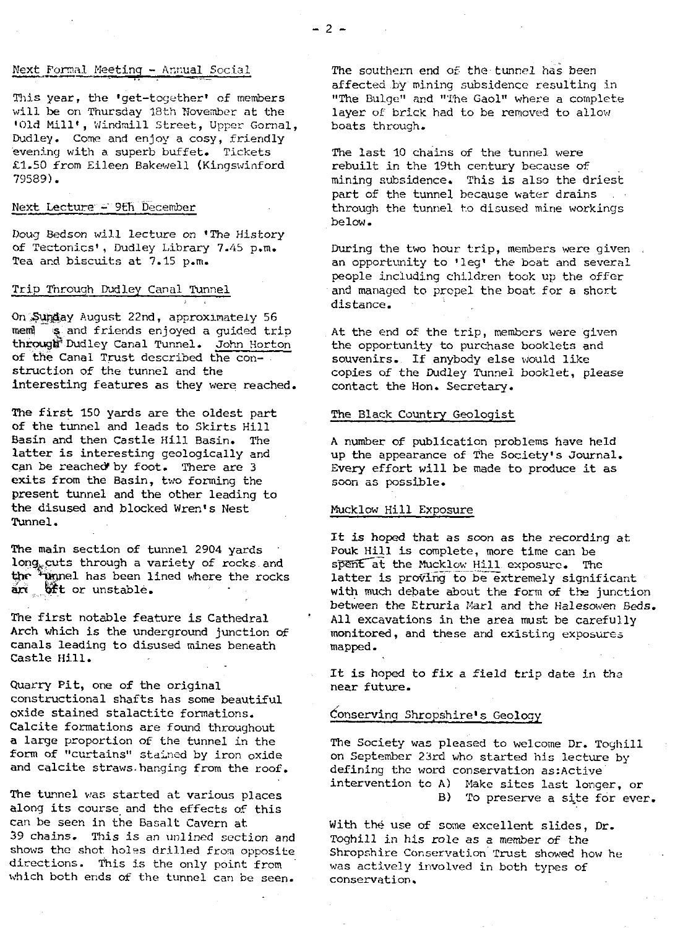#### Next Formal Meeting - Annual Social

This year, the 'get-together' of members will be on Thursday 18th November at the 'Old Mill', Windmill Street, Upper Gornal, Dudley. Come and enjoy a cosy, friendly evening with a superb buffet. Tickets £1.50 from Eileen Bakewell (Kingswinford 79589).

#### Next Lecture - 9th December

Doug Bedson will lecture on 'The History of Tectonics', Dudley Library 7.45 p.m. Tea and biscuits at 7.15 p.m.

### Trip Through Dudley Canal Tunnel

On Sunday August 22nd, approximately 56 mem s and friends enjoyed a quided trip through Dudley Canal Tunnel. John Horton of the Canal Trust described the construction of the tunnel and the interesting features as they were reached.

The first 150 yards are *the* oldest part of the tunnel and leads to Skirts Hill Basin and then Castle Hill Basin. The latter is interesting geologically and can be reached by foot. There are 3 exits from the Basin, two forming the present tunnel and the other leading to the disused and blocked Wren's Nest Tunnel.

The main section of tunnel 2904 yards long. cuts through a variety of rocks and the <sup>4</sup>unnel has been lined where the rocks  $\frac{1}{2}$  oft or unstable.

The first notable feature is Cathedral Arch which is the underground junction of canals leading to disused mines beneath Castle Hill.

Quarry Pit, one of the original constructional shafts has some beautiful oxide stained stalactite formations. Calcite formations are found throughout a large proportion of the tunnel in the form of "curtains" stathed by iron oxide and calcite straws-hanging from the roof.

The tunnel was started at various *places* along its course and the effects of this can be seen in the Basalt Cavern at 39 chains. This is an unlined section and shows the shot. holes drilled from opposite directions. This is the only point from which both ends of the tunnel can *be seen.*

The southern end of the tunnel has been affected by mining subsidence resulting in *"The Bulge" and "The* Gaol" where a complete layer of brick had to be removed to allow boats through.

The last 10 chains of the tunnel were rebuilt in the 19th century because of mining subsidence. This is also the driest part of the tunnel because water drains through the tunnel to disused mine workings below.

During the two hour trip, members were given. an opportunity to 'leg' the boat and several people including children took up the offer and managed to propel the boat for a short distance.

At the end of the trip, members were given the opportunity to purchase booklets and souvenirs.. If anybody else would like copies of the Dudley Tunnel booklet, please contact the Hon. Secretary.

## The Black Country Geologist

A number of publication problems have held up the appearance of The Society's Journal. Every effort will be made to produce it as soon as possible.

#### Muck low Hill Exposure

It is hoped that as soon as the recording at<br>Pouk Hill is complete, more time can be spent at the Mucklow Hill exposure. The latter is proving to be extremely significant with much debate about the form of the junction between the Etruria Marl and the Halesowen *Beds.* All excavations in the area must be carefully monitored, and these and existing exposures mapped.

It is hoped to fix a field trip date in the near future.

#### Conserving Shropshire's Geology

The Society was pleased to welcome Dr. Toghili on September 23rd who started his lecture by defining the word conservation as:Active intervention to A) Make sites last longer, or B) To preserve a site for ever.

With the use of some excellent slides, Dr. Toghill in his role as a member of the Shropshire Conservation Trust showed how he was actively involved in both types of conservation.